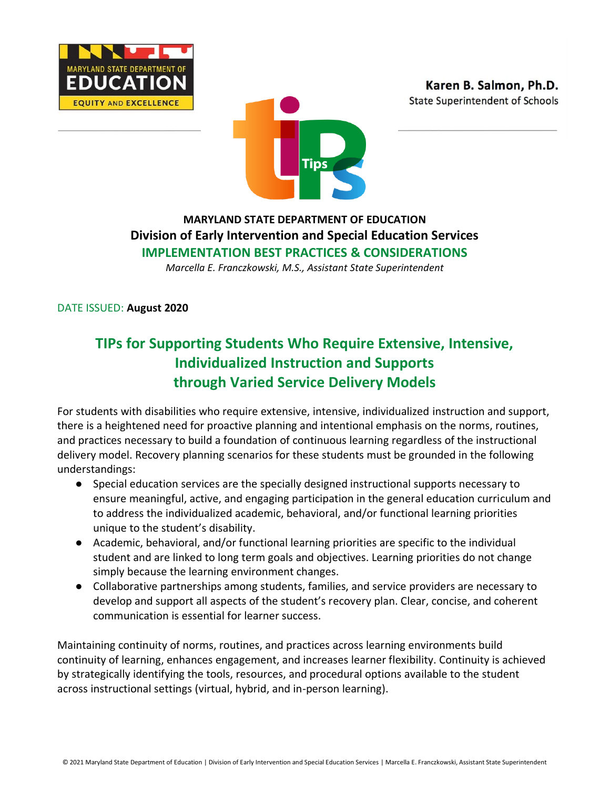





## **MARYLAND STATE DEPARTMENT OF EDUCATION Division of Early Intervention and Special Education Services IMPLEMENTATION BEST PRACTICES & CONSIDERATIONS**

*Marcella E. Franczkowski, M.S., Assistant State Superintendent*

DATE ISSUED: **August 2020**

# **TIPs for Supporting Students Who Require Extensive, Intensive, Individualized Instruction and Supports through Varied Service Delivery Models**

For students with disabilities who require extensive, intensive, individualized instruction and support, there is a heightened need for proactive planning and intentional emphasis on the norms, routines, and practices necessary to build a foundation of continuous learning regardless of the instructional delivery model. Recovery planning scenarios for these students must be grounded in the following understandings:

- Special education services are the specially designed instructional supports necessary to ensure meaningful, active, and engaging participation in the general education curriculum and to address the individualized academic, behavioral, and/or functional learning priorities unique to the student's disability.
- Academic, behavioral, and/or functional learning priorities are specific to the individual student and are linked to long term goals and objectives. Learning priorities do not change simply because the learning environment changes.
- Collaborative partnerships among students, families, and service providers are necessary to develop and support all aspects of the student's recovery plan. Clear, concise, and coherent communication is essential for learner success.

Maintaining continuity of norms, routines, and practices across learning environments build continuity of learning, enhances engagement, and increases learner flexibility. Continuity is achieved by strategically identifying the tools, resources, and procedural options available to the student across instructional settings (virtual, hybrid, and in-person learning).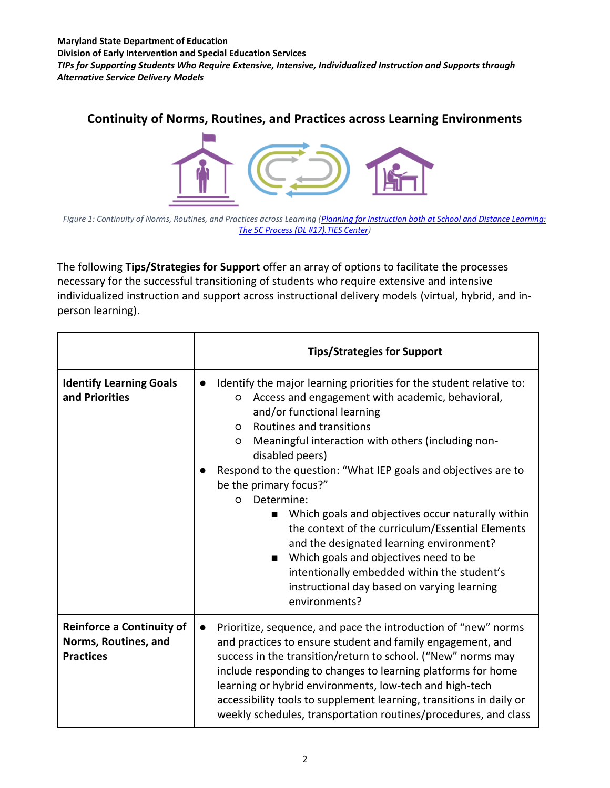**Maryland State Department of Education Division of Early Intervention and Special Education Services** *TIPs for Supporting Students Who Require Extensive, Intensive, Individualized Instruction and Supports through Alternative Service Delivery Models*

## **Continuity of Norms, Routines, and Practices across Learning Environments**



*Figure 1: Continuity of Norms, Routines, and Practices across Learning [\(Planning for Instruction both at School and Distance Learning:](https://tiescenter.org/resource/ties-distance-learning-17-planning-for-instruction-both-at-school-and-distance-learning-the-5c-process)  [The 5C Process \(DL #17\).TIES Center\)](https://tiescenter.org/resource/ties-distance-learning-17-planning-for-instruction-both-at-school-and-distance-learning-the-5c-process)*

The following **Tips/Strategies for Support** offer an array of options to facilitate the processes necessary for the successful transitioning of students who require extensive and intensive individualized instruction and support across instructional delivery models (virtual, hybrid, and inperson learning).

|                                                                              | <b>Tips/Strategies for Support</b>                                                                                                                                                                                                                                                                                                                                                                                                                                                                                                                                                                                                                                                                                        |
|------------------------------------------------------------------------------|---------------------------------------------------------------------------------------------------------------------------------------------------------------------------------------------------------------------------------------------------------------------------------------------------------------------------------------------------------------------------------------------------------------------------------------------------------------------------------------------------------------------------------------------------------------------------------------------------------------------------------------------------------------------------------------------------------------------------|
| <b>Identify Learning Goals</b><br>and Priorities                             | Identify the major learning priorities for the student relative to:<br>$\bullet$<br>Access and engagement with academic, behavioral,<br>O<br>and/or functional learning<br>Routines and transitions<br>O<br>Meaningful interaction with others (including non-<br>O<br>disabled peers)<br>Respond to the question: "What IEP goals and objectives are to<br>be the primary focus?"<br>Determine:<br>$\Omega$<br>Which goals and objectives occur naturally within<br>the context of the curriculum/Essential Elements<br>and the designated learning environment?<br>Which goals and objectives need to be<br>intentionally embedded within the student's<br>instructional day based on varying learning<br>environments? |
| <b>Reinforce a Continuity of</b><br>Norms, Routines, and<br><b>Practices</b> | Prioritize, sequence, and pace the introduction of "new" norms<br>and practices to ensure student and family engagement, and<br>success in the transition/return to school. ("New" norms may<br>include responding to changes to learning platforms for home<br>learning or hybrid environments, low-tech and high-tech<br>accessibility tools to supplement learning, transitions in daily or<br>weekly schedules, transportation routines/procedures, and class                                                                                                                                                                                                                                                         |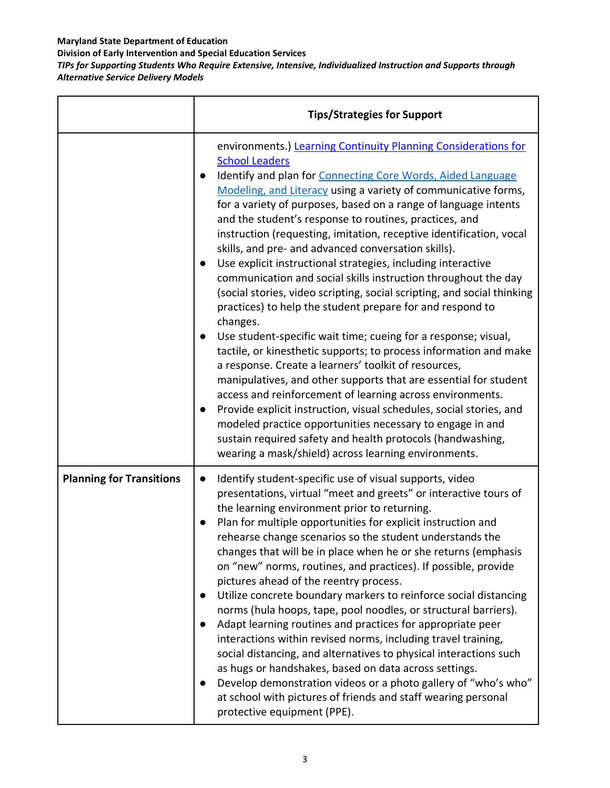**Division of Early Intervention and Special Education Services**

*TIPs for Supporting Students Who Require Extensive, Intensive, Individualized Instruction and Supports through Alternative Service Delivery Models*

|                                 | <b>Tips/Strategies for Support</b>                                                                                                                                                                                                                                                                                                                                                                                                                                                                                                                                                                                                                                                                                                                                                                                                                                                                                                                                                                                                                                                                                                                                                                                                                                                                                                                                                                         |
|---------------------------------|------------------------------------------------------------------------------------------------------------------------------------------------------------------------------------------------------------------------------------------------------------------------------------------------------------------------------------------------------------------------------------------------------------------------------------------------------------------------------------------------------------------------------------------------------------------------------------------------------------------------------------------------------------------------------------------------------------------------------------------------------------------------------------------------------------------------------------------------------------------------------------------------------------------------------------------------------------------------------------------------------------------------------------------------------------------------------------------------------------------------------------------------------------------------------------------------------------------------------------------------------------------------------------------------------------------------------------------------------------------------------------------------------------|
|                                 | environments.) Learning Continuity Planning Considerations for<br><b>School Leaders</b><br>Identify and plan for Connecting Core Words, Aided Language<br>$\bullet$<br>Modeling, and Literacy using a variety of communicative forms,<br>for a variety of purposes, based on a range of language intents<br>and the student's response to routines, practices, and<br>instruction (requesting, imitation, receptive identification, vocal<br>skills, and pre- and advanced conversation skills).<br>Use explicit instructional strategies, including interactive<br>$\bullet$<br>communication and social skills instruction throughout the day<br>(social stories, video scripting, social scripting, and social thinking<br>practices) to help the student prepare for and respond to<br>changes.<br>Use student-specific wait time; cueing for a response; visual,<br>tactile, or kinesthetic supports; to process information and make<br>a response. Create a learners' toolkit of resources,<br>manipulatives, and other supports that are essential for student<br>access and reinforcement of learning across environments.<br>Provide explicit instruction, visual schedules, social stories, and<br>$\bullet$<br>modeled practice opportunities necessary to engage in and<br>sustain required safety and health protocols (handwashing,<br>wearing a mask/shield) across learning environments. |
| <b>Planning for Transitions</b> | Identify student-specific use of visual supports, video<br>$\bullet$<br>presentations, virtual "meet and greets" or interactive tours of<br>the learning environment prior to returning.<br>Plan for multiple opportunities for explicit instruction and<br>rehearse change scenarios so the student understands the<br>changes that will be in place when he or she returns (emphasis<br>on "new" norms, routines, and practices). If possible, provide<br>pictures ahead of the reentry process.<br>Utilize concrete boundary markers to reinforce social distancing<br>$\bullet$<br>norms (hula hoops, tape, pool noodles, or structural barriers).<br>Adapt learning routines and practices for appropriate peer<br>$\bullet$<br>interactions within revised norms, including travel training,<br>social distancing, and alternatives to physical interactions such<br>as hugs or handshakes, based on data across settings.<br>Develop demonstration videos or a photo gallery of "who's who"<br>at school with pictures of friends and staff wearing personal<br>protective equipment (PPE).                                                                                                                                                                                                                                                                                                         |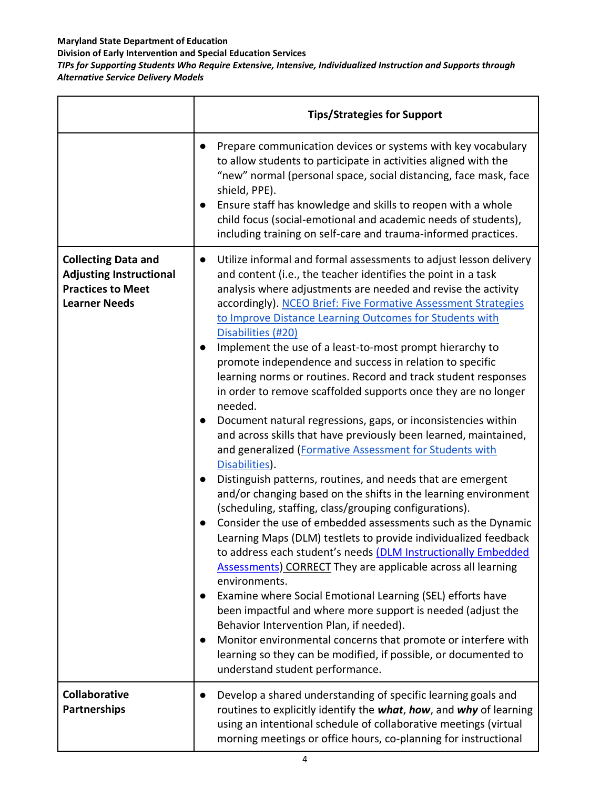**Division of Early Intervention and Special Education Services**

*TIPs for Supporting Students Who Require Extensive, Intensive, Individualized Instruction and Supports through Alternative Service Delivery Models*

|                                                                                                                  | <b>Tips/Strategies for Support</b>                                                                                                                                                                                                                                                                                                                                                                                                                                                                                                                                                                                                                                                                                                                                                                                                                                                                                                                                                                                                                                              |
|------------------------------------------------------------------------------------------------------------------|---------------------------------------------------------------------------------------------------------------------------------------------------------------------------------------------------------------------------------------------------------------------------------------------------------------------------------------------------------------------------------------------------------------------------------------------------------------------------------------------------------------------------------------------------------------------------------------------------------------------------------------------------------------------------------------------------------------------------------------------------------------------------------------------------------------------------------------------------------------------------------------------------------------------------------------------------------------------------------------------------------------------------------------------------------------------------------|
|                                                                                                                  | Prepare communication devices or systems with key vocabulary<br>$\bullet$<br>to allow students to participate in activities aligned with the<br>"new" normal (personal space, social distancing, face mask, face<br>shield, PPE).<br>Ensure staff has knowledge and skills to reopen with a whole<br>child focus (social-emotional and academic needs of students),<br>including training on self-care and trauma-informed practices.                                                                                                                                                                                                                                                                                                                                                                                                                                                                                                                                                                                                                                           |
| <b>Collecting Data and</b><br><b>Adjusting Instructional</b><br><b>Practices to Meet</b><br><b>Learner Needs</b> | Utilize informal and formal assessments to adjust lesson delivery<br>$\bullet$<br>and content (i.e., the teacher identifies the point in a task<br>analysis where adjustments are needed and revise the activity<br>accordingly). NCEO Brief: Five Formative Assessment Strategies<br>to Improve Distance Learning Outcomes for Students with<br>Disabilities (#20)<br>Implement the use of a least-to-most prompt hierarchy to<br>$\bullet$<br>promote independence and success in relation to specific<br>learning norms or routines. Record and track student responses<br>in order to remove scaffolded supports once they are no longer<br>needed.                                                                                                                                                                                                                                                                                                                                                                                                                         |
|                                                                                                                  | Document natural regressions, gaps, or inconsistencies within<br>and across skills that have previously been learned, maintained,<br>and generalized (Formative Assessment for Students with<br>Disabilities).<br>Distinguish patterns, routines, and needs that are emergent<br>$\bullet$<br>and/or changing based on the shifts in the learning environment<br>(scheduling, staffing, class/grouping configurations).<br>Consider the use of embedded assessments such as the Dynamic<br>Learning Maps (DLM) testlets to provide individualized feedback<br>to address each student's needs (DLM Instructionally Embedded<br><b>Assessments) CORRECT</b> They are applicable across all learning<br>environments.<br>Examine where Social Emotional Learning (SEL) efforts have<br>been impactful and where more support is needed (adjust the<br>Behavior Intervention Plan, if needed).<br>Monitor environmental concerns that promote or interfere with<br>$\bullet$<br>learning so they can be modified, if possible, or documented to<br>understand student performance. |
| Collaborative<br><b>Partnerships</b>                                                                             | Develop a shared understanding of specific learning goals and<br>$\bullet$<br>routines to explicitly identify the what, how, and why of learning<br>using an intentional schedule of collaborative meetings (virtual<br>morning meetings or office hours, co-planning for instructional                                                                                                                                                                                                                                                                                                                                                                                                                                                                                                                                                                                                                                                                                                                                                                                         |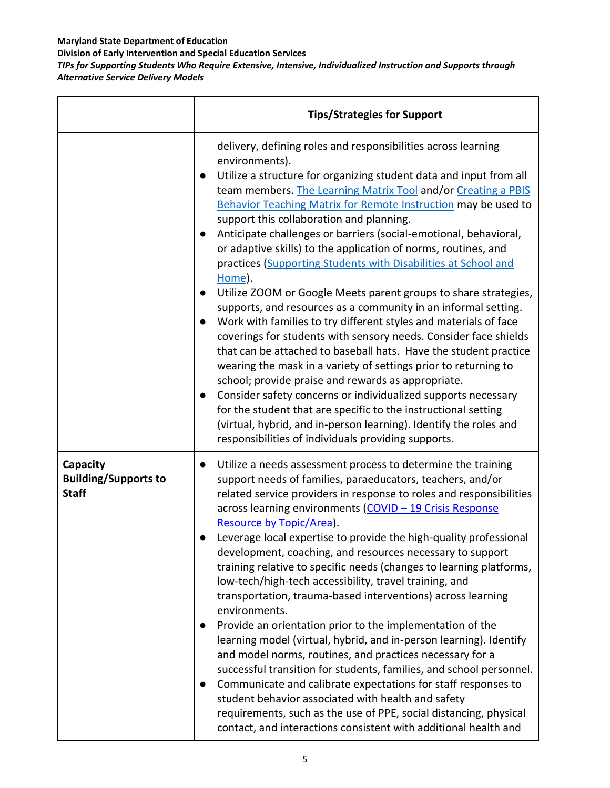**Division of Early Intervention and Special Education Services**

*TIPs for Supporting Students Who Require Extensive, Intensive, Individualized Instruction and Supports through Alternative Service Delivery Models*

|                                                         | <b>Tips/Strategies for Support</b>                                                                                                                                                                                                                                                                                                                                                                                                                                                                                                                                                                                                                                                                                                                                                                                                                                                                                                                                                                                                                                                                                                                                                                                                                                                              |
|---------------------------------------------------------|-------------------------------------------------------------------------------------------------------------------------------------------------------------------------------------------------------------------------------------------------------------------------------------------------------------------------------------------------------------------------------------------------------------------------------------------------------------------------------------------------------------------------------------------------------------------------------------------------------------------------------------------------------------------------------------------------------------------------------------------------------------------------------------------------------------------------------------------------------------------------------------------------------------------------------------------------------------------------------------------------------------------------------------------------------------------------------------------------------------------------------------------------------------------------------------------------------------------------------------------------------------------------------------------------|
|                                                         | delivery, defining roles and responsibilities across learning<br>environments).<br>Utilize a structure for organizing student data and input from all<br>team members. The Learning Matrix Tool and/or Creating a PBIS<br>Behavior Teaching Matrix for Remote Instruction may be used to<br>support this collaboration and planning.<br>Anticipate challenges or barriers (social-emotional, behavioral,<br>or adaptive skills) to the application of norms, routines, and<br>practices (Supporting Students with Disabilities at School and<br>Home).<br>Utilize ZOOM or Google Meets parent groups to share strategies,<br>supports, and resources as a community in an informal setting.<br>Work with families to try different styles and materials of face<br>coverings for students with sensory needs. Consider face shields<br>that can be attached to baseball hats. Have the student practice<br>wearing the mask in a variety of settings prior to returning to<br>school; provide praise and rewards as appropriate.<br>Consider safety concerns or individualized supports necessary<br>for the student that are specific to the instructional setting<br>(virtual, hybrid, and in-person learning). Identify the roles and<br>responsibilities of individuals providing supports. |
| Capacity<br><b>Building/Supports to</b><br><b>Staff</b> | Utilize a needs assessment process to determine the training<br>$\bullet$<br>support needs of families, paraeducators, teachers, and/or<br>related service providers in response to roles and responsibilities<br>across learning environments (COVID - 19 Crisis Response<br>Resource by Topic/Area).<br>Leverage local expertise to provide the high-quality professional<br>development, coaching, and resources necessary to support<br>training relative to specific needs (changes to learning platforms,<br>low-tech/high-tech accessibility, travel training, and<br>transportation, trauma-based interventions) across learning<br>environments.<br>Provide an orientation prior to the implementation of the<br>learning model (virtual, hybrid, and in-person learning). Identify<br>and model norms, routines, and practices necessary for a<br>successful transition for students, families, and school personnel.<br>Communicate and calibrate expectations for staff responses to<br>student behavior associated with health and safety<br>requirements, such as the use of PPE, social distancing, physical<br>contact, and interactions consistent with additional health and                                                                                                  |